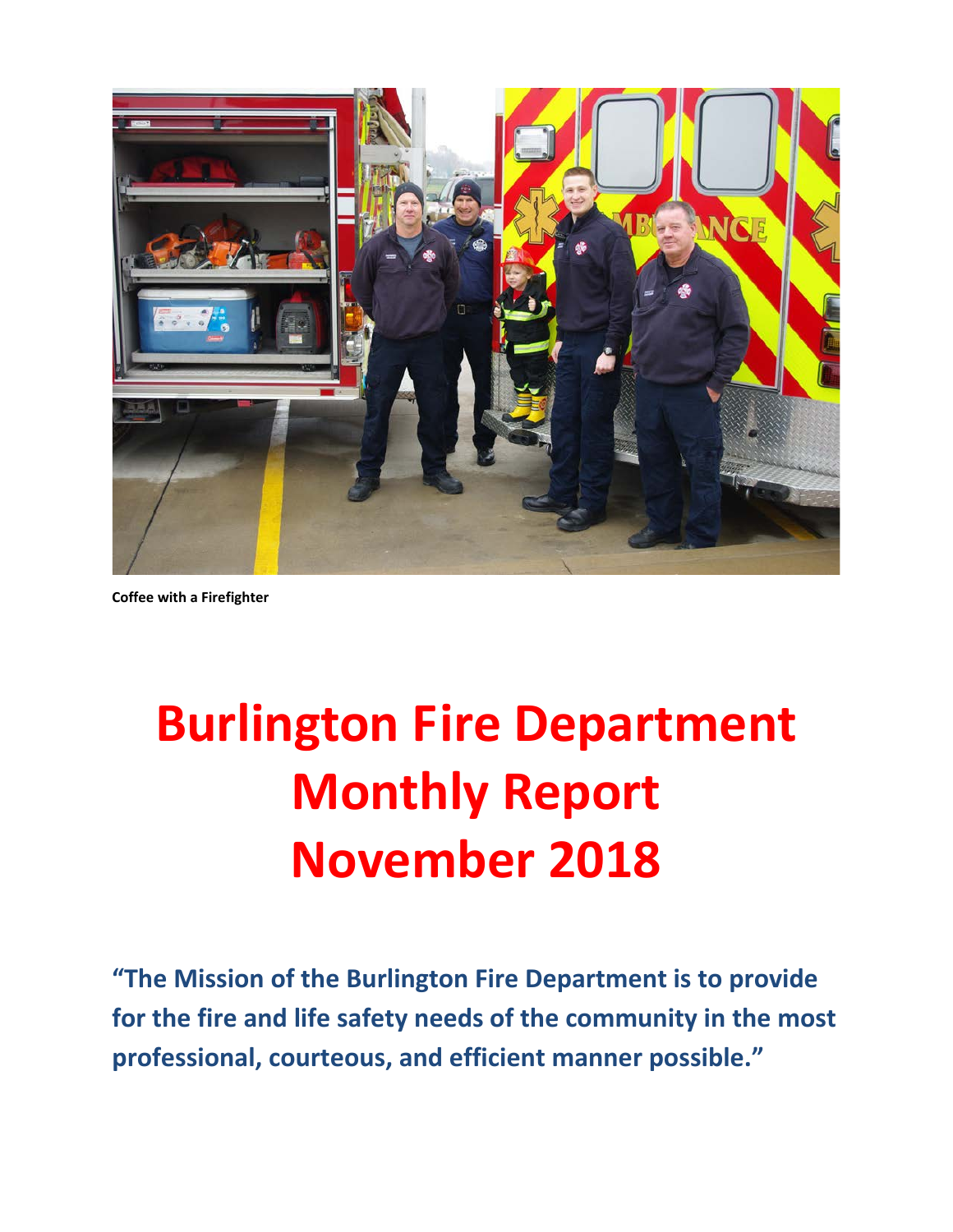

**Coffee with a Firefighter**

# **Burlington Fire Department Monthly Report November 2018**

**"The Mission of the Burlington Fire Department is to provide for the fire and life safety needs of the community in the most professional, courteous, and efficient manner possible."**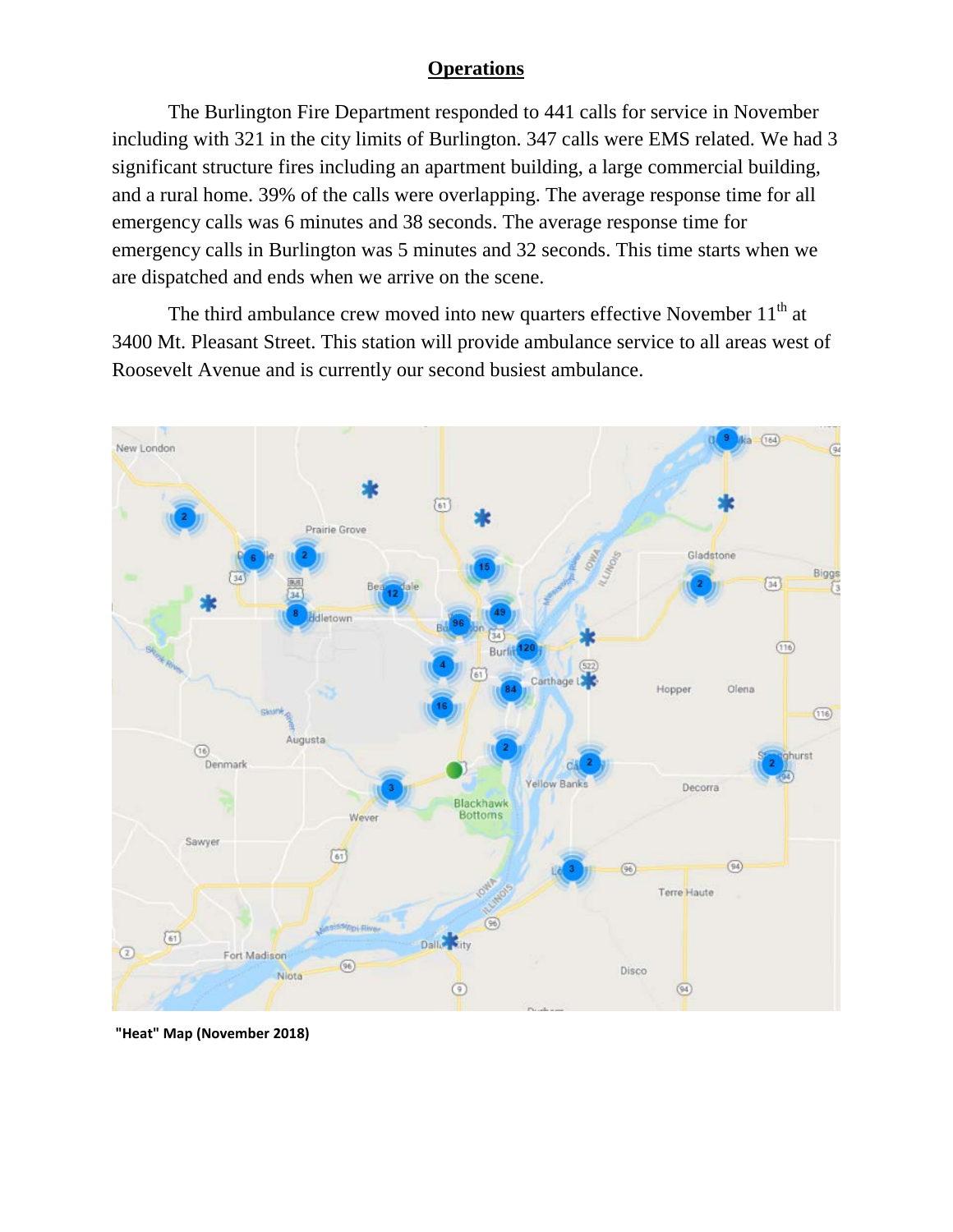#### **Operations**

The Burlington Fire Department responded to 441 calls for service in November including with 321 in the city limits of Burlington. 347 calls were EMS related. We had 3 significant structure fires including an apartment building, a large commercial building, and a rural home. 39% of the calls were overlapping. The average response time for all emergency calls was 6 minutes and 38 seconds. The average response time for emergency calls in Burlington was 5 minutes and 32 seconds. This time starts when we are dispatched and ends when we arrive on the scene.

The third ambulance crew moved into new quarters effective November  $11<sup>th</sup>$  at 3400 Mt. Pleasant Street. This station will provide ambulance service to all areas west of Roosevelt Avenue and is currently our second busiest ambulance.



**"Heat" Map (November 2018)**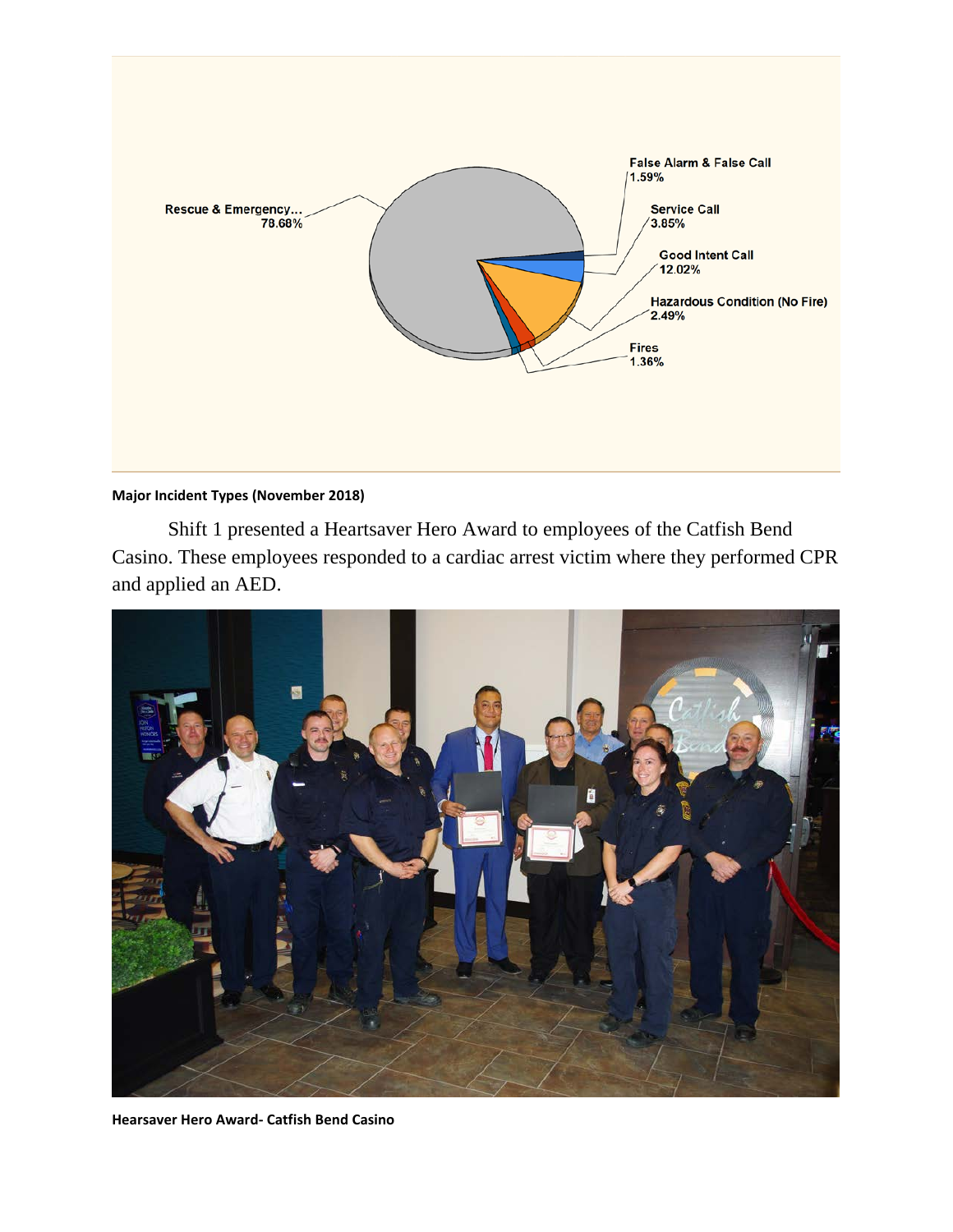

#### **Major Incident Types (November 2018)**

Shift 1 presented a Heartsaver Hero Award to employees of the Catfish Bend Casino. These employees responded to a cardiac arrest victim where they performed CPR and applied an AED.



**Hearsaver Hero Award- Catfish Bend Casino**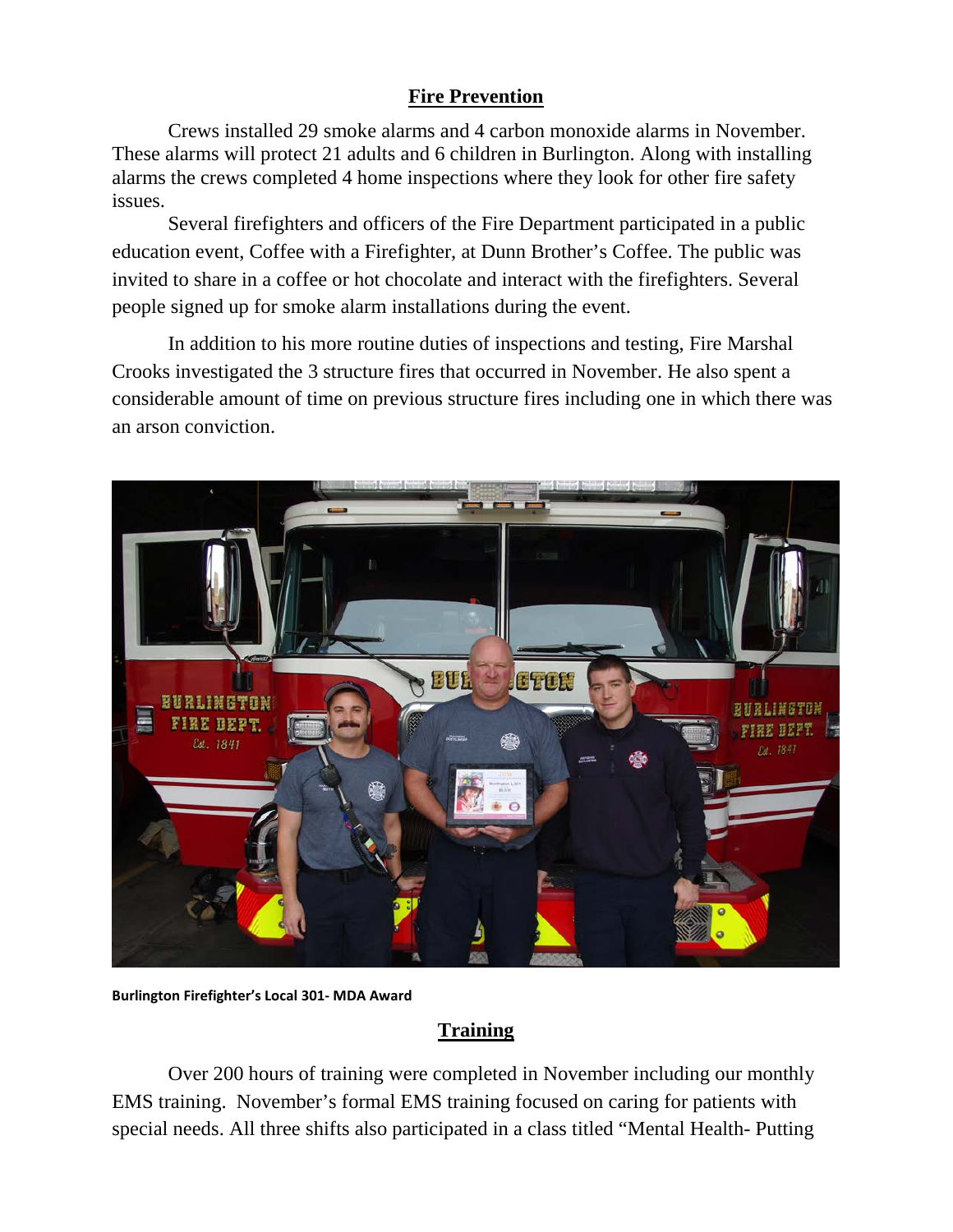#### **Fire Prevention**

Crews installed 29 smoke alarms and 4 carbon monoxide alarms in November. These alarms will protect 21 adults and 6 children in Burlington. Along with installing alarms the crews completed 4 home inspections where they look for other fire safety issues.

Several firefighters and officers of the Fire Department participated in a public education event, Coffee with a Firefighter, at Dunn Brother's Coffee. The public was invited to share in a coffee or hot chocolate and interact with the firefighters. Several people signed up for smoke alarm installations during the event.

In addition to his more routine duties of inspections and testing, Fire Marshal Crooks investigated the 3 structure fires that occurred in November. He also spent a considerable amount of time on previous structure fires including one in which there was an arson conviction.



**Burlington Firefighter's Local 301- MDA Award**

#### **Training**

Over 200 hours of training were completed in November including our monthly EMS training. November's formal EMS training focused on caring for patients with special needs. All three shifts also participated in a class titled "Mental Health- Putting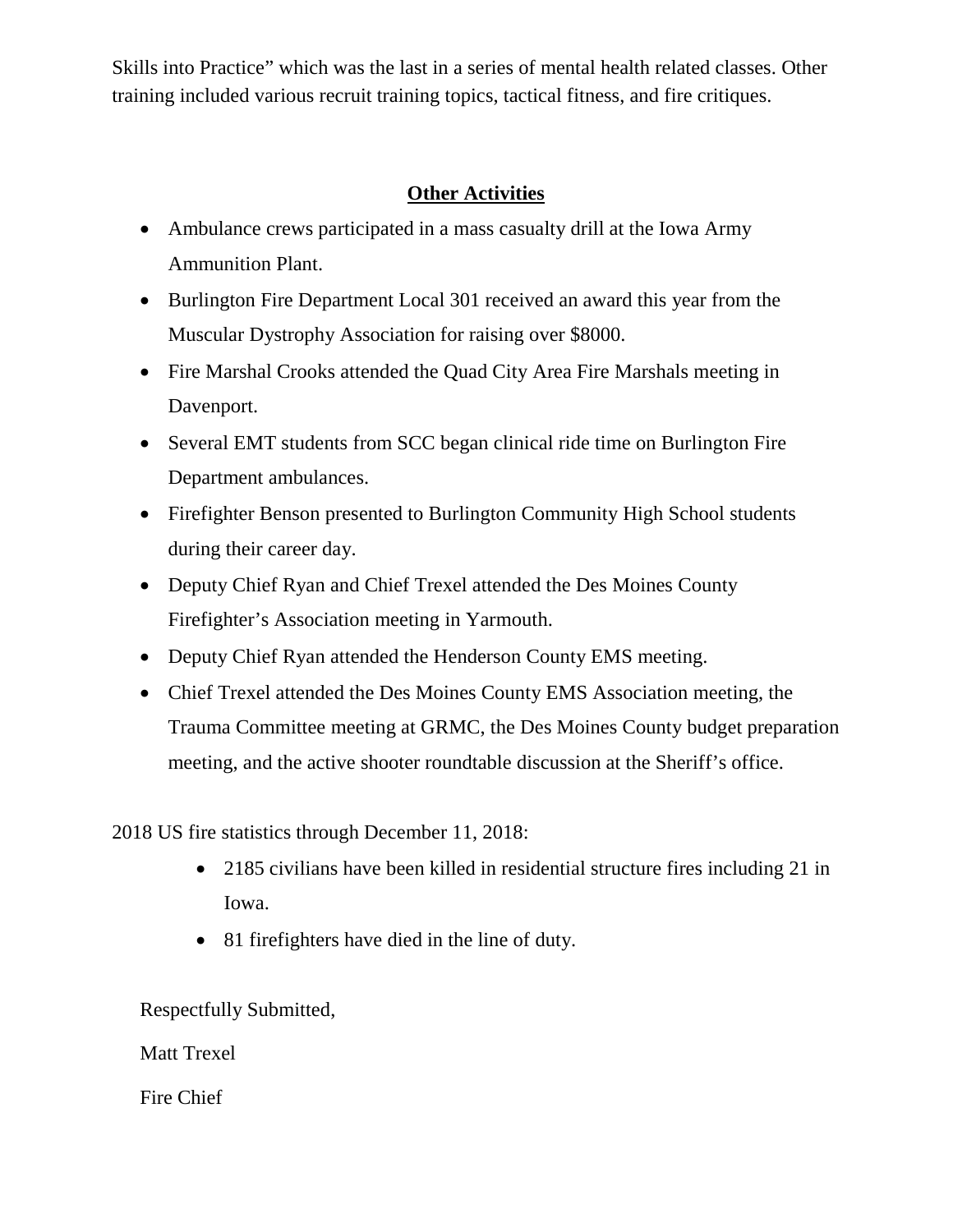Skills into Practice" which was the last in a series of mental health related classes. Other training included various recruit training topics, tactical fitness, and fire critiques.

### **Other Activities**

- Ambulance crews participated in a mass casualty drill at the Iowa Army Ammunition Plant.
- Burlington Fire Department Local 301 received an award this year from the Muscular Dystrophy Association for raising over \$8000.
- Fire Marshal Crooks attended the Quad City Area Fire Marshals meeting in Davenport.
- Several EMT students from SCC began clinical ride time on Burlington Fire Department ambulances.
- Firefighter Benson presented to Burlington Community High School students during their career day.
- Deputy Chief Ryan and Chief Trexel attended the Des Moines County Firefighter's Association meeting in Yarmouth.
- Deputy Chief Ryan attended the Henderson County EMS meeting.
- Chief Trexel attended the Des Moines County EMS Association meeting, the Trauma Committee meeting at GRMC, the Des Moines County budget preparation meeting, and the active shooter roundtable discussion at the Sheriff's office.

2018 US fire statistics through December 11, 2018:

- 2185 civilians have been killed in residential structure fires including 21 in Iowa.
- 81 firefighters have died in the line of duty.

Respectfully Submitted,

Matt Trexel

Fire Chief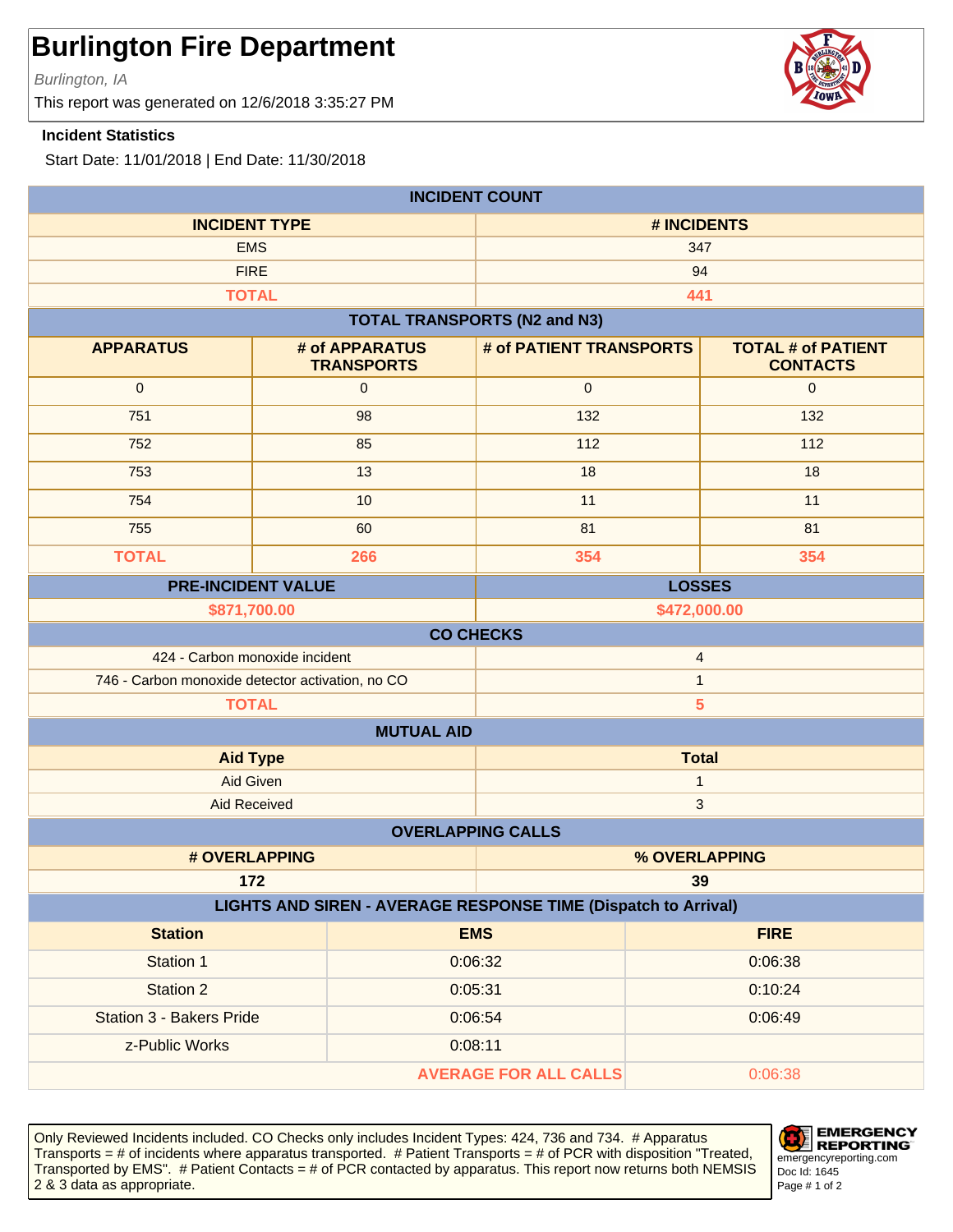Burlington, IA

This report was generated on 12/6/2018 3:35:27 PM

#### **Incident Statistics**

Start Date: 11/01/2018 | End Date: 11/30/2018

| <b>INCIDENT COUNT</b>                                                 |                                     |                                     |                                              |  |
|-----------------------------------------------------------------------|-------------------------------------|-------------------------------------|----------------------------------------------|--|
| <b>INCIDENT TYPE</b>                                                  |                                     | # INCIDENTS                         |                                              |  |
| <b>EMS</b>                                                            |                                     | 347                                 |                                              |  |
| <b>FIRE</b>                                                           |                                     |                                     | 94                                           |  |
| <b>TOTAL</b>                                                          |                                     |                                     | 441                                          |  |
|                                                                       |                                     | <b>TOTAL TRANSPORTS (N2 and N3)</b> |                                              |  |
| <b>APPARATUS</b>                                                      | # of APPARATUS<br><b>TRANSPORTS</b> | # of PATIENT TRANSPORTS             | <b>TOTAL # of PATIENT</b><br><b>CONTACTS</b> |  |
| $\mathbf 0$                                                           | 0                                   | $\pmb{0}$                           | $\mathbf{0}$                                 |  |
| 751                                                                   | 98                                  | 132                                 | 132                                          |  |
| 752                                                                   | 85                                  | 112                                 | 112                                          |  |
| 753                                                                   | 13                                  | 18                                  | 18                                           |  |
| 754                                                                   | 10                                  | 11                                  | 11                                           |  |
| 755                                                                   | 60                                  | 81                                  | 81                                           |  |
| <b>TOTAL</b>                                                          | 266                                 | 354                                 | 354                                          |  |
| <b>PRE-INCIDENT VALUE</b>                                             |                                     |                                     | <b>LOSSES</b>                                |  |
| \$871,700.00<br>\$472,000.00                                          |                                     |                                     |                                              |  |
|                                                                       |                                     | <b>CO CHECKS</b>                    |                                              |  |
| 424 - Carbon monoxide incident<br>$\overline{4}$                      |                                     |                                     |                                              |  |
| 746 - Carbon monoxide detector activation, no CO                      |                                     | $\mathbf{1}$                        |                                              |  |
| 5<br><b>TOTAL</b><br><b>MUTUAL AID</b>                                |                                     |                                     |                                              |  |
| <b>Aid Type</b>                                                       |                                     |                                     | <b>Total</b>                                 |  |
| <b>Aid Given</b>                                                      |                                     | $\mathbf{1}$                        |                                              |  |
| <b>Aid Received</b>                                                   |                                     |                                     | $\mathbf{3}$                                 |  |
| <b>OVERLAPPING CALLS</b>                                              |                                     |                                     |                                              |  |
|                                                                       | # OVERLAPPING                       |                                     | % OVERLAPPING                                |  |
| 172<br>39                                                             |                                     |                                     |                                              |  |
| <b>LIGHTS AND SIREN - AVERAGE RESPONSE TIME (Dispatch to Arrival)</b> |                                     |                                     |                                              |  |
| <b>Station</b>                                                        |                                     | <b>EMS</b>                          | <b>FIRE</b>                                  |  |
| Station 1                                                             |                                     | 0:06:32                             | 0:06:38                                      |  |
| Station 2                                                             |                                     | 0:05:31                             | 0:10:24                                      |  |
| <b>Station 3 - Bakers Pride</b>                                       |                                     | 0:06:54                             | 0:06:49                                      |  |
| z-Public Works                                                        |                                     | 0:08:11                             |                                              |  |
|                                                                       |                                     | <b>AVERAGE FOR ALL CALLS</b>        | 0:06:38                                      |  |

Only Reviewed Incidents included. CO Checks only includes Incident Types: 424, 736 and 734. # Apparatus Transports = # of incidents where apparatus transported. # Patient Transports = # of PCR with disposition "Treated, Transported by EMS". # Patient Contacts = # of PCR contacted by apparatus. This report now returns both NEMSIS 2 & 3 data as appropriate. The set of 2 set of 2 set of 2 set of 2 set of 2 set of 2 set of 2 set of 2 set of 2



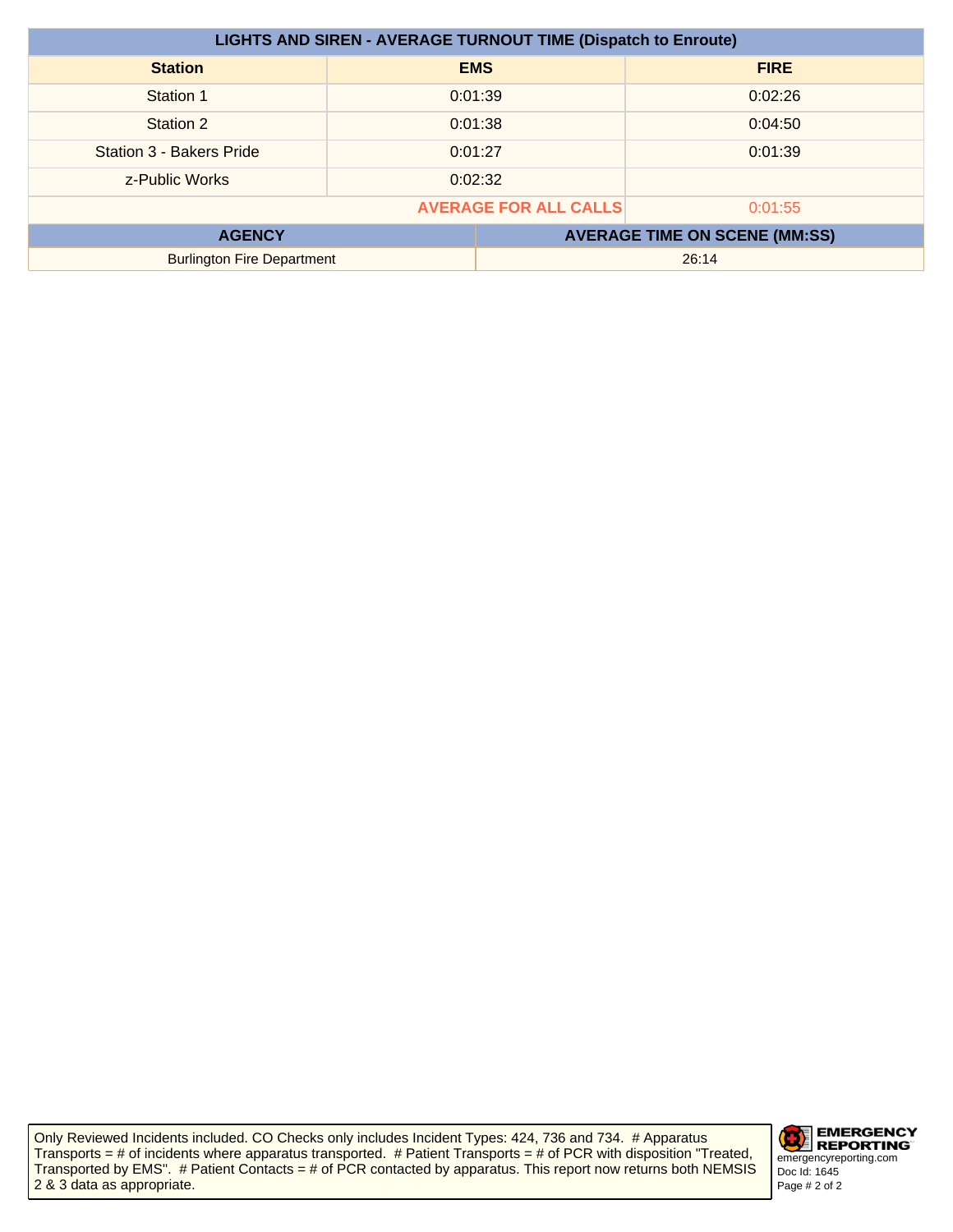| <b>LIGHTS AND SIREN - AVERAGE TURNOUT TIME (Dispatch to Enroute)</b> |         |            |                                      |
|----------------------------------------------------------------------|---------|------------|--------------------------------------|
| <b>Station</b>                                                       |         | <b>EMS</b> | <b>FIRE</b>                          |
| Station 1                                                            | 0:01:39 |            | 0:02:26                              |
| Station 2                                                            | 0:01:38 |            | 0:04:50                              |
| <b>Station 3 - Bakers Pride</b>                                      | 0:01:27 |            | 0:01:39                              |
| z-Public Works                                                       | 0:02:32 |            |                                      |
| <b>AVERAGE FOR ALL CALLS</b><br>0:01:55                              |         |            |                                      |
| <b>AGENCY</b>                                                        |         |            | <b>AVERAGE TIME ON SCENE (MM:SS)</b> |
| <b>Burlington Fire Department</b>                                    |         |            | 26:14                                |

Only Reviewed Incidents included. CO Checks only includes Incident Types: 424, 736 and 734. # Apparatus Transports = # of incidents where apparatus transported. # Patient Transports = # of PCR with disposition "Treated, Transported by EMS". # Patient Contacts = # of PCR contacted by apparatus. This report now returns both NEMSIS 2 & 3 data as appropriate.

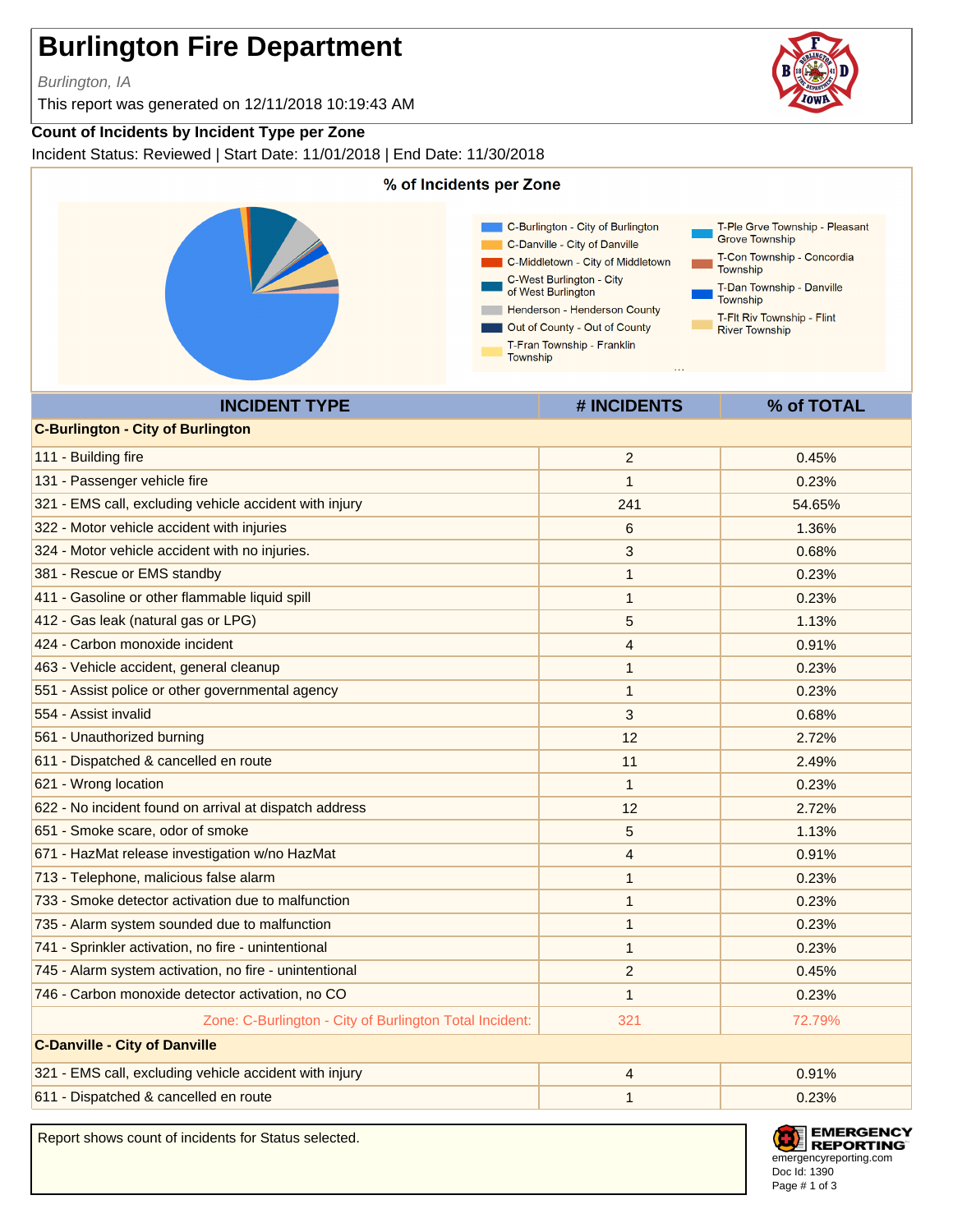Burlington, IA

This report was generated on 12/11/2018 10:19:43 AM

#### **Count of Incidents by Incident Type per Zone**

Incident Status: Reviewed | Start Date: 11/01/2018 | End Date: 11/30/2018



611 - Dispatched & cancelled en route 1 0.23% and 1 0.23% and 1 0.23% and 1 0.23% and 1 0.23% and 1 0.23% and 1

Report shows count of incidents for Status selected.



**EMERGENCY REPORTING** emergencyreporting.com Doc Id: 1390 Page # 1 of 3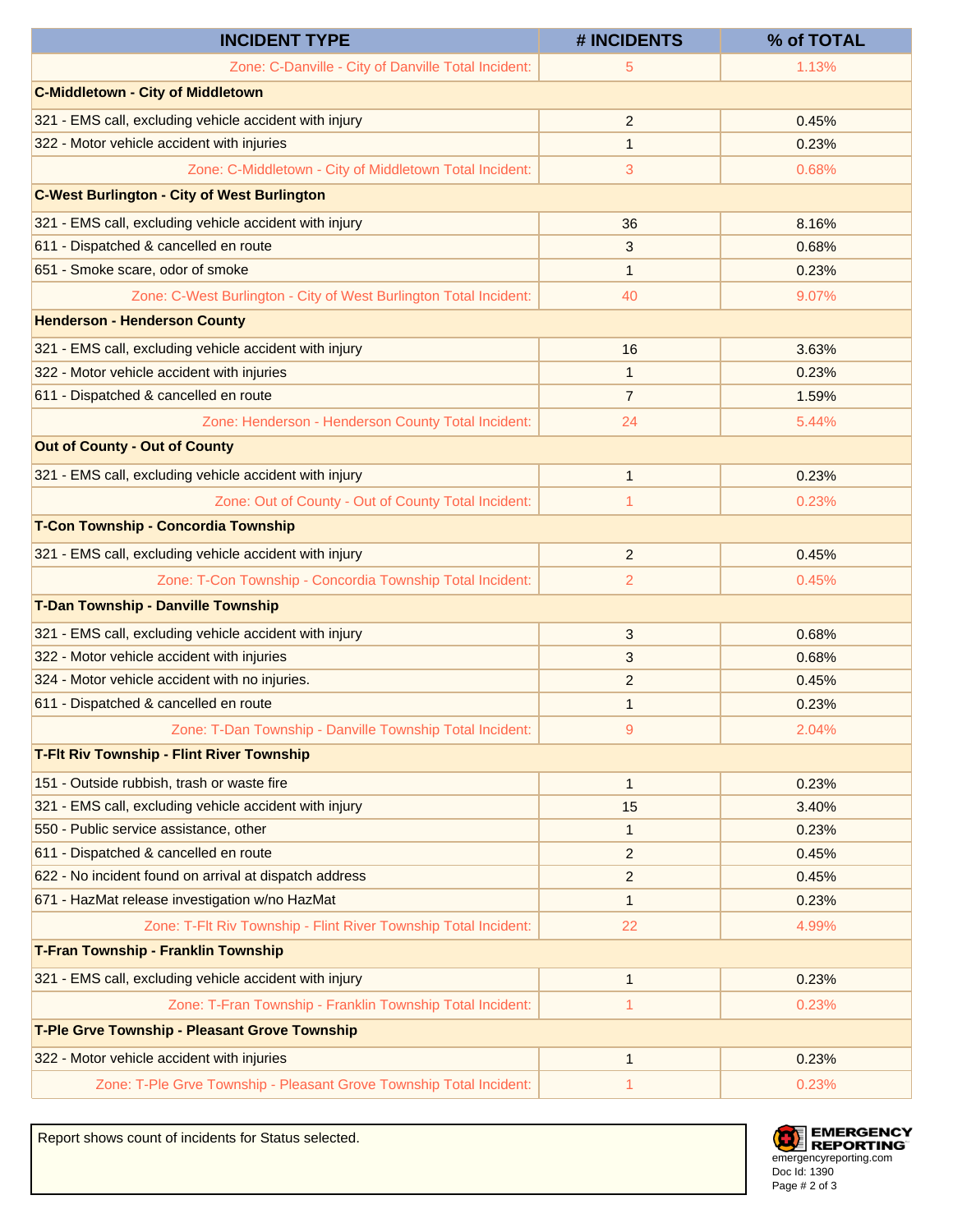| <b>INCIDENT TYPE</b>                                                | # INCIDENTS    | % of TOTAL |
|---------------------------------------------------------------------|----------------|------------|
| Zone: C-Danville - City of Danville Total Incident:                 | 5              | 1.13%      |
| <b>C-Middletown - City of Middletown</b>                            |                |            |
| 321 - EMS call, excluding vehicle accident with injury              | 2              | 0.45%      |
| 322 - Motor vehicle accident with injuries                          | $\mathbf{1}$   | 0.23%      |
| Zone: C-Middletown - City of Middletown Total Incident:             | 3              | 0.68%      |
| <b>C-West Burlington - City of West Burlington</b>                  |                |            |
| 321 - EMS call, excluding vehicle accident with injury              | 36             | 8.16%      |
| 611 - Dispatched & cancelled en route                               | 3              | 0.68%      |
| 651 - Smoke scare, odor of smoke                                    | 1              | 0.23%      |
| Zone: C-West Burlington - City of West Burlington Total Incident:   | 40             | 9.07%      |
| <b>Henderson - Henderson County</b>                                 |                |            |
| 321 - EMS call, excluding vehicle accident with injury              | 16             | 3.63%      |
| 322 - Motor vehicle accident with injuries                          | 1              | 0.23%      |
| 611 - Dispatched & cancelled en route                               | $\overline{7}$ | 1.59%      |
| Zone: Henderson - Henderson County Total Incident:                  | 24             | 5.44%      |
| <b>Out of County - Out of County</b>                                |                |            |
| 321 - EMS call, excluding vehicle accident with injury              | $\mathbf{1}$   | 0.23%      |
| Zone: Out of County - Out of County Total Incident:                 | 1              | 0.23%      |
| T-Con Township - Concordia Township                                 |                |            |
| 321 - EMS call, excluding vehicle accident with injury              | $\overline{2}$ | 0.45%      |
| Zone: T-Con Township - Concordia Township Total Incident:           | $\overline{2}$ | 0.45%      |
| T-Dan Township - Danville Township                                  |                |            |
| 321 - EMS call, excluding vehicle accident with injury              | 3              | 0.68%      |
| 322 - Motor vehicle accident with injuries                          | 3              | 0.68%      |
| 324 - Motor vehicle accident with no injuries.                      | 2              | 0.45%      |
| 611 - Dispatched & cancelled en route                               | $\mathbf{1}$   | 0.23%      |
| Zone: T-Dan Township - Danville Township Total Incident:            | 9              | 2.04%      |
| <b>T-Fit Riv Township - Flint River Township</b>                    |                |            |
| 151 - Outside rubbish, trash or waste fire                          | $\mathbf{1}$   | 0.23%      |
| 321 - EMS call, excluding vehicle accident with injury              | 15             | 3.40%      |
| 550 - Public service assistance, other                              | 1              | 0.23%      |
| 611 - Dispatched & cancelled en route                               | $\overline{2}$ | 0.45%      |
| 622 - No incident found on arrival at dispatch address              | 2              | 0.45%      |
| 671 - HazMat release investigation w/no HazMat                      | $\mathbf{1}$   | 0.23%      |
| Zone: T-Flt Riv Township - Flint River Township Total Incident:     | 22             | 4.99%      |
| T-Fran Township - Franklin Township                                 |                |            |
| 321 - EMS call, excluding vehicle accident with injury              | $\mathbf{1}$   | 0.23%      |
| Zone: T-Fran Township - Franklin Township Total Incident:           | 1              | 0.23%      |
| T-Ple Grve Township - Pleasant Grove Township                       |                |            |
| 322 - Motor vehicle accident with injuries                          | $\mathbf{1}$   | 0.23%      |
| Zone: T-Ple Grve Township - Pleasant Grove Township Total Incident: | 1              | 0.23%      |

Report shows count of incidents for Status selected.

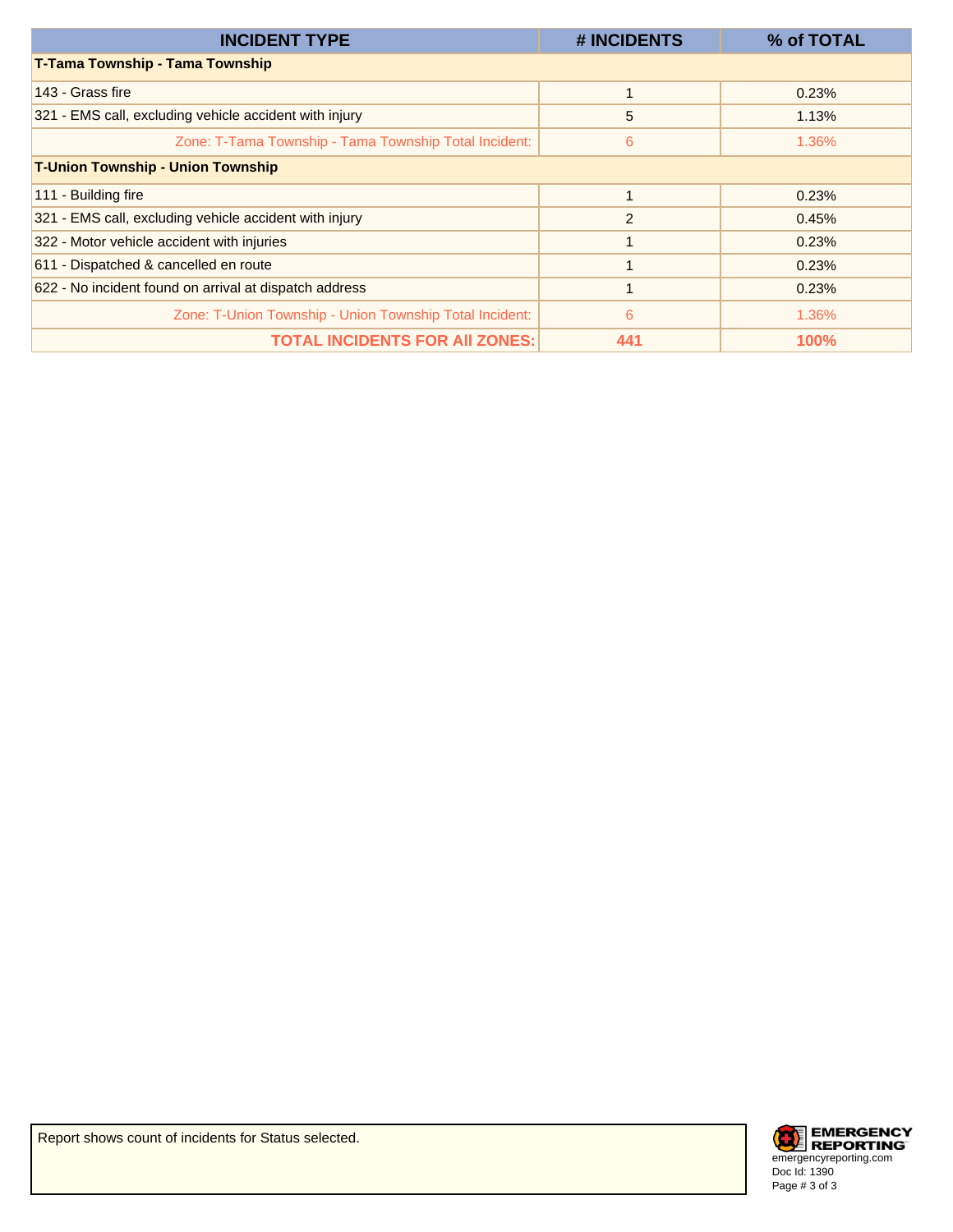| <b>INCIDENT TYPE</b>                                    | # INCIDENTS | % of TOTAL  |
|---------------------------------------------------------|-------------|-------------|
| T-Tama Township - Tama Township                         |             |             |
| 143 - Grass fire                                        |             | 0.23%       |
| 321 - EMS call, excluding vehicle accident with injury  | 5           | 1.13%       |
| Zone: T-Tama Township - Tama Township Total Incident:   | 6           | 1.36%       |
| <b>T-Union Township - Union Township</b>                |             |             |
| 111 - Building fire                                     |             | 0.23%       |
| 321 - EMS call, excluding vehicle accident with injury  | 2           | 0.45%       |
| 322 - Motor vehicle accident with injuries              |             | 0.23%       |
| 611 - Dispatched & cancelled en route                   |             | 0.23%       |
| 622 - No incident found on arrival at dispatch address  |             | 0.23%       |
| Zone: T-Union Township - Union Township Total Incident: | 6           | 1.36%       |
| <b>TOTAL INCIDENTS FOR AII ZONES:</b>                   | 441         | <b>100%</b> |

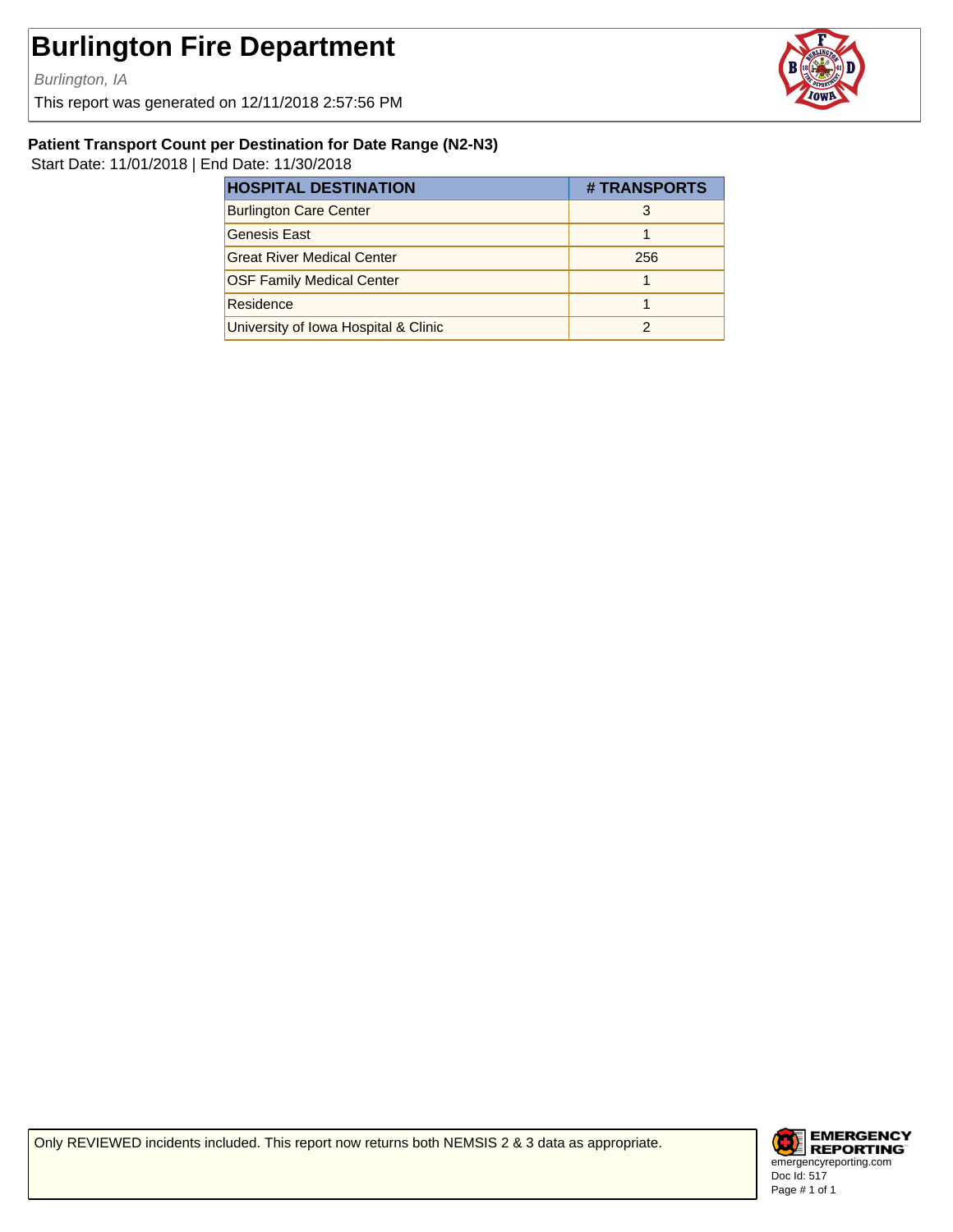Burlington, IA

This report was generated on 12/11/2018 2:57:56 PM



#### **Patient Transport Count per Destination for Date Range (N2-N3)**

Start Date: 11/01/2018 | End Date: 11/30/2018

| <b>HOSPITAL DESTINATION</b>          | # TRANSPORTS |
|--------------------------------------|--------------|
| <b>Burlington Care Center</b>        |              |
| <b>Genesis East</b>                  |              |
| <b>Great River Medical Center</b>    | 256          |
| <b>OSF Family Medical Center</b>     |              |
| Residence                            |              |
| University of Iowa Hospital & Clinic |              |

Only REVIEWED incidents included. This report now returns both NEMSIS 2 & 3 data as appropriate.

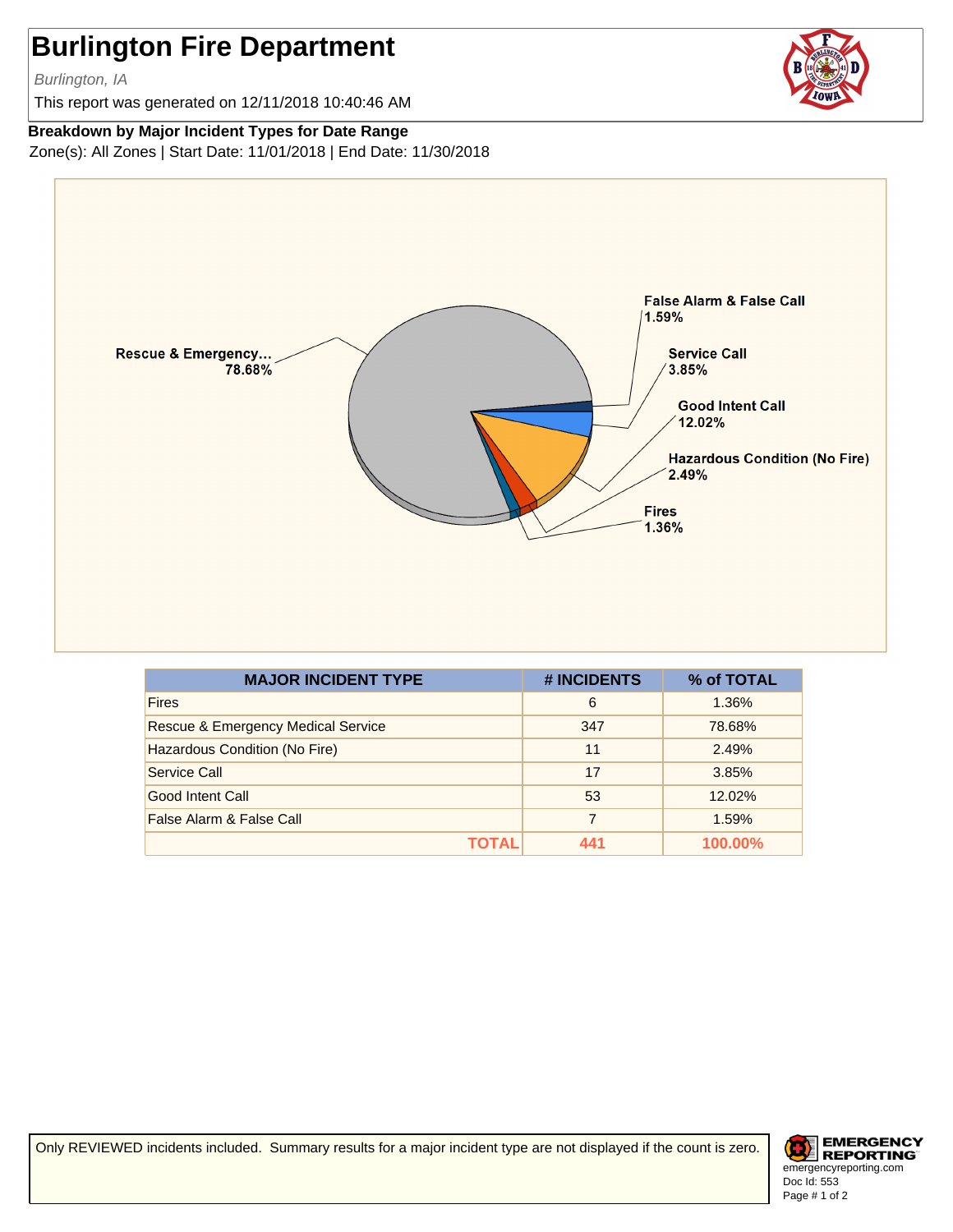Burlington, IA

This report was generated on 12/11/2018 10:40:46 AM

**Breakdown by Major Incident Types for Date Range**

Zone(s): All Zones | Start Date: 11/01/2018 | End Date: 11/30/2018



| <b>MAJOR INCIDENT TYPE</b>         | # INCIDENTS | % of TOTAL |
|------------------------------------|-------------|------------|
| <b>Fires</b>                       | 6           | 1.36%      |
| Rescue & Emergency Medical Service | 347         | 78.68%     |
| Hazardous Condition (No Fire)      | 11          | 2.49%      |
| Service Call                       | 17          | 3.85%      |
| Good Intent Call                   | 53          | 12.02%     |
| False Alarm & False Call           | 7           | 1.59%      |
| ΤΟΤΑL                              | 441         | 100.00%    |

Only REVIEWED incidents included. Summary results for a major incident type are not displayed if the count is zero.

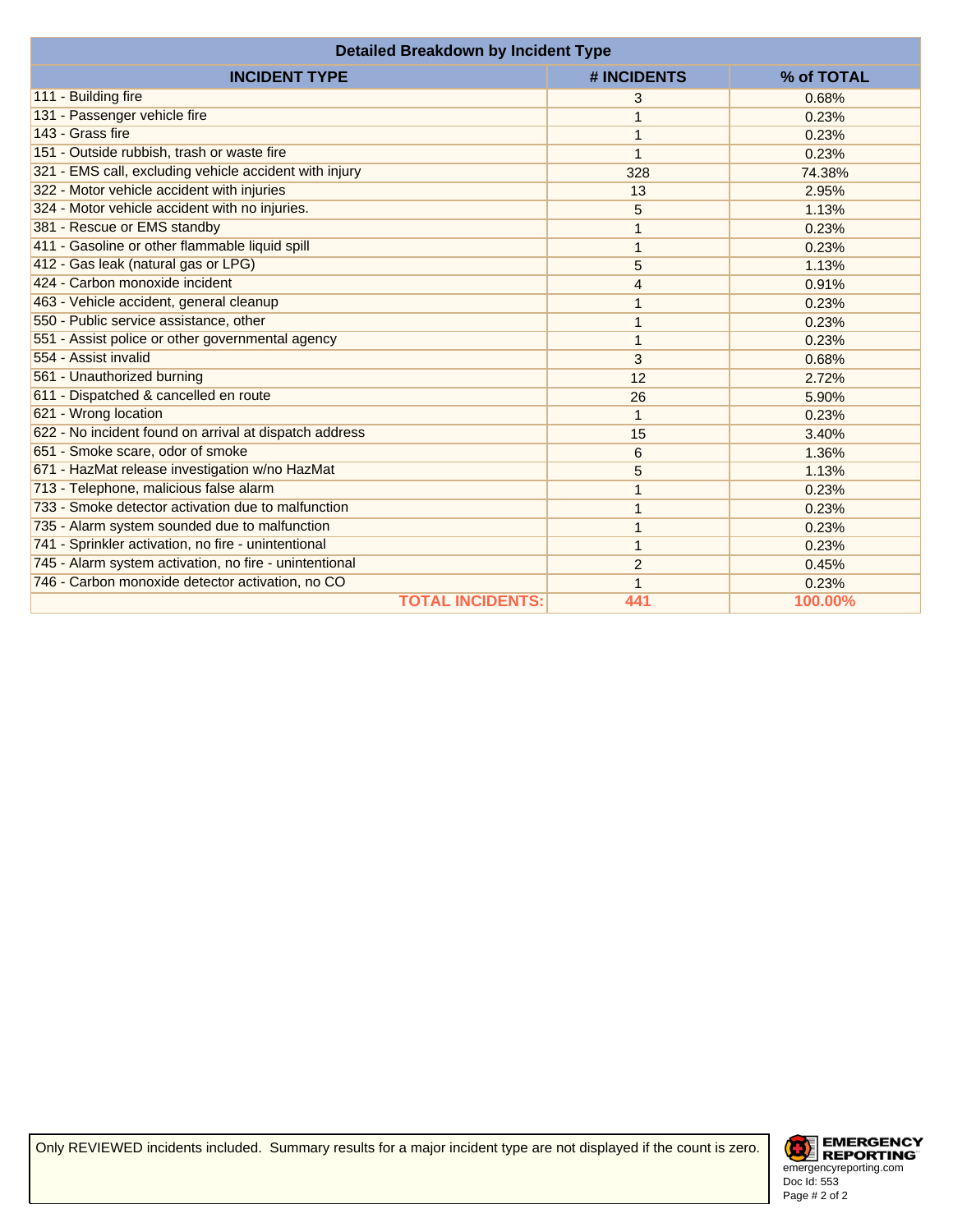| <b>Detailed Breakdown by Incident Type</b>             |                |            |
|--------------------------------------------------------|----------------|------------|
| <b>INCIDENT TYPE</b>                                   | # INCIDENTS    | % of TOTAL |
| 111 - Building fire                                    | 3              | 0.68%      |
| 131 - Passenger vehicle fire                           | 1              | 0.23%      |
| 143 - Grass fire                                       | 1              | 0.23%      |
| 151 - Outside rubbish, trash or waste fire             | 1              | 0.23%      |
| 321 - EMS call, excluding vehicle accident with injury | 328            | 74.38%     |
| 322 - Motor vehicle accident with injuries             | 13             | 2.95%      |
| 324 - Motor vehicle accident with no injuries.         | 5              | 1.13%      |
| 381 - Rescue or EMS standby                            | 1              | 0.23%      |
| 411 - Gasoline or other flammable liquid spill         | 1              | 0.23%      |
| 412 - Gas leak (natural gas or LPG)                    | 5              | 1.13%      |
| 424 - Carbon monoxide incident                         | 4              | 0.91%      |
| 463 - Vehicle accident, general cleanup                | 1              | 0.23%      |
| 550 - Public service assistance, other                 | 1              | 0.23%      |
| 551 - Assist police or other governmental agency       | 1              | 0.23%      |
| 554 - Assist invalid                                   | 3              | 0.68%      |
| 561 - Unauthorized burning                             | 12             | 2.72%      |
| 611 - Dispatched & cancelled en route                  | 26             | 5.90%      |
| 621 - Wrong location                                   | 1              | 0.23%      |
| 622 - No incident found on arrival at dispatch address | 15             | 3.40%      |
| 651 - Smoke scare, odor of smoke                       | 6              | 1.36%      |
| 671 - HazMat release investigation w/no HazMat         | 5              | 1.13%      |
| 713 - Telephone, malicious false alarm                 | 1              | 0.23%      |
| 733 - Smoke detector activation due to malfunction     | 1              | 0.23%      |
| 735 - Alarm system sounded due to malfunction          | 1              | 0.23%      |
| 741 - Sprinkler activation, no fire - unintentional    | 1              | 0.23%      |
| 745 - Alarm system activation, no fire - unintentional | $\overline{2}$ | 0.45%      |
| 746 - Carbon monoxide detector activation, no CO       | 1              | 0.23%      |
| <b>TOTAL INCIDENTS:</b>                                | 441            | 100.00%    |

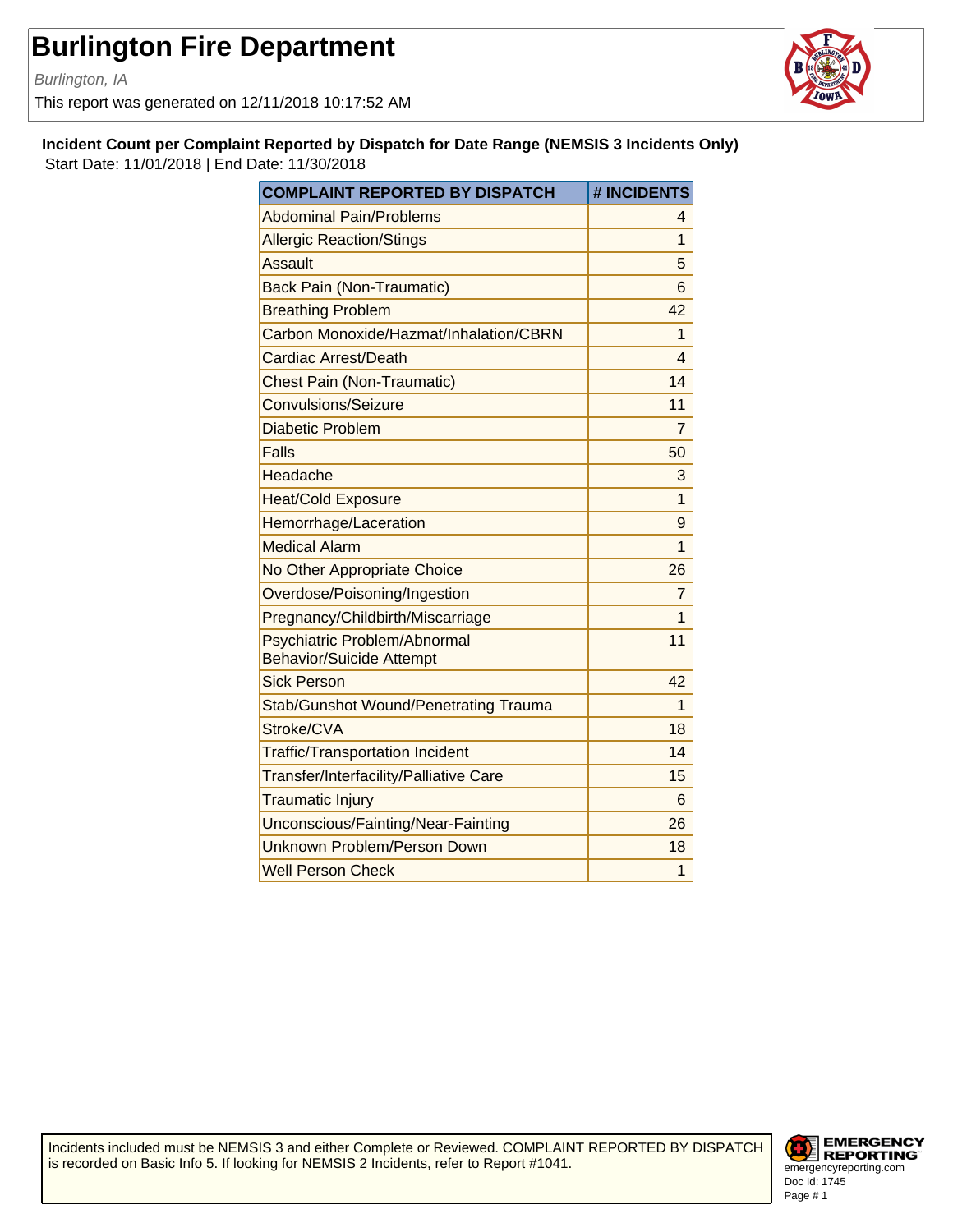Burlington, IA

This report was generated on 12/11/2018 10:17:52 AM



**Incident Count per Complaint Reported by Dispatch for Date Range (NEMSIS 3 Incidents Only)** Start Date: 11/01/2018 | End Date: 11/30/2018

| <b>COMPLAINT REPORTED BY DISPATCH</b>                           | # INCIDENTS    |
|-----------------------------------------------------------------|----------------|
| <b>Abdominal Pain/Problems</b>                                  | 4              |
| <b>Allergic Reaction/Stings</b>                                 | $\mathbf{1}$   |
| <b>Assault</b>                                                  | 5              |
| <b>Back Pain (Non-Traumatic)</b>                                | 6              |
| <b>Breathing Problem</b>                                        | 42             |
| Carbon Monoxide/Hazmat/Inhalation/CBRN                          | $\mathbf{1}$   |
| Cardiac Arrest/Death                                            | 4              |
| <b>Chest Pain (Non-Traumatic)</b>                               | 14             |
| Convulsions/Seizure                                             | 11             |
| <b>Diabetic Problem</b>                                         | $\overline{7}$ |
| Falls                                                           | 50             |
| Headache                                                        | 3              |
| <b>Heat/Cold Exposure</b>                                       | $\mathbf{1}$   |
| Hemorrhage/Laceration                                           | 9              |
| <b>Medical Alarm</b>                                            | 1              |
| No Other Appropriate Choice                                     | 26             |
| Overdose/Poisoning/Ingestion                                    | $\overline{7}$ |
| Pregnancy/Childbirth/Miscarriage                                | 1              |
| Psychiatric Problem/Abnormal<br><b>Behavior/Suicide Attempt</b> | 11             |
| <b>Sick Person</b>                                              | 42             |
| <b>Stab/Gunshot Wound/Penetrating Trauma</b>                    | 1              |
| Stroke/CVA                                                      | 18             |
| <b>Traffic/Transportation Incident</b>                          | 14             |
| Transfer/Interfacility/Palliative Care                          | 15             |
| <b>Traumatic Injury</b>                                         | 6              |
| Unconscious/Fainting/Near-Fainting                              | 26             |
| <b>Unknown Problem/Person Down</b>                              | 18             |
| <b>Well Person Check</b>                                        | 1              |

Incidents included must be NEMSIS 3 and either Complete or Reviewed. COMPLAINT REPORTED BY DISPATCH is recorded on Basic Info 5. If looking for NEMSIS 2 Incidents, refer to Report #1041.

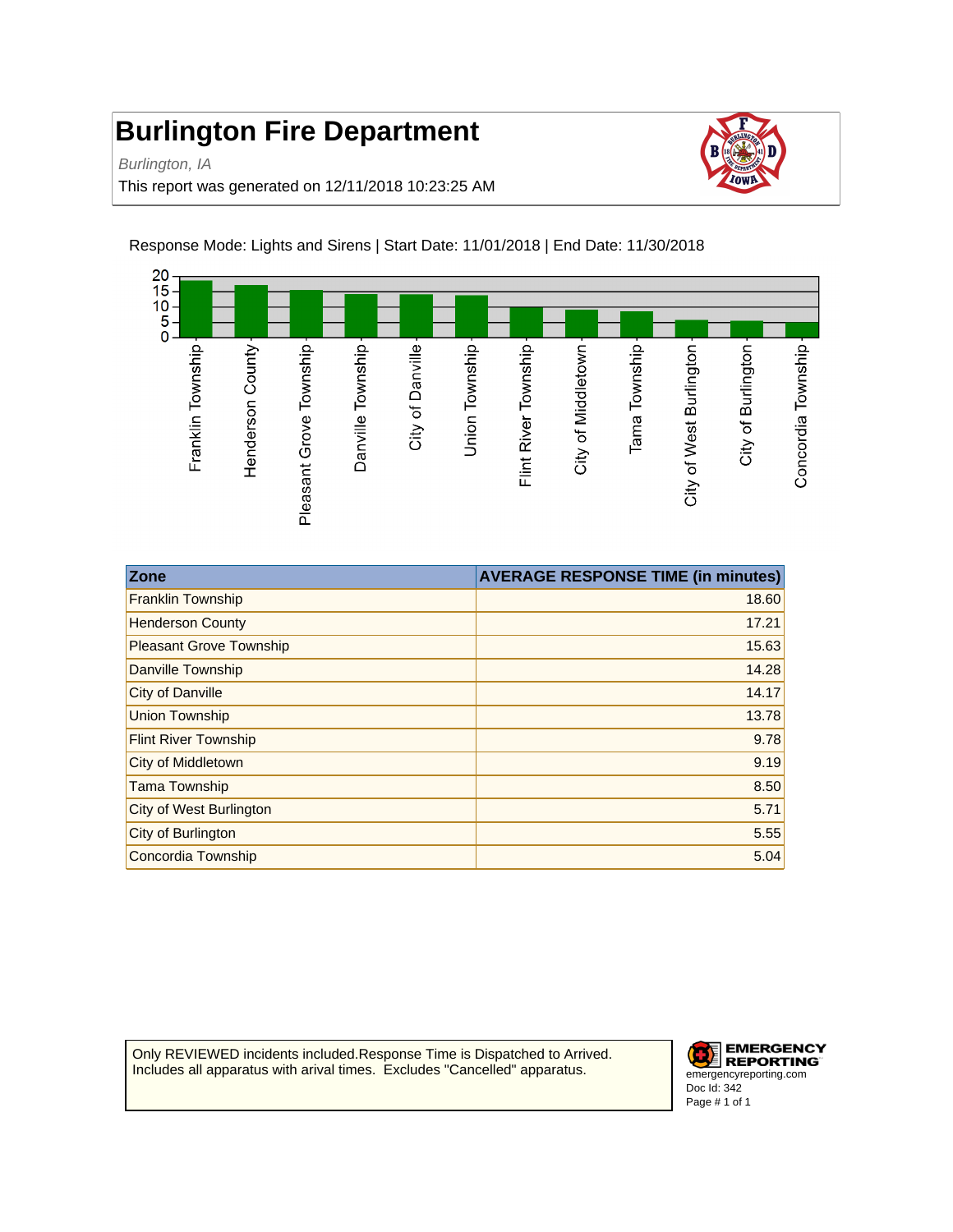Burlington, IA

This report was generated on 12/11/2018 10:23:25 AM





| <b>Zone</b>                    | <b>AVERAGE RESPONSE TIME (in minutes)</b> |
|--------------------------------|-------------------------------------------|
| <b>Franklin Township</b>       | 18.60                                     |
| <b>Henderson County</b>        | 17.21                                     |
| <b>Pleasant Grove Township</b> | 15.63                                     |
| Danville Township              | 14.28                                     |
| <b>City of Danville</b>        | 14.17                                     |
| <b>Union Township</b>          | 13.78                                     |
| <b>Flint River Township</b>    | 9.78                                      |
| City of Middletown             | 9.19                                      |
| <b>Tama Township</b>           | 8.50                                      |
| City of West Burlington        | 5.71                                      |
| City of Burlington             | 5.55                                      |
| Concordia Township             | 5.04                                      |

Only REVIEWED incidents included.Response Time is Dispatched to Arrived. Includes all apparatus with arival times. Excludes "Cancelled" apparatus.

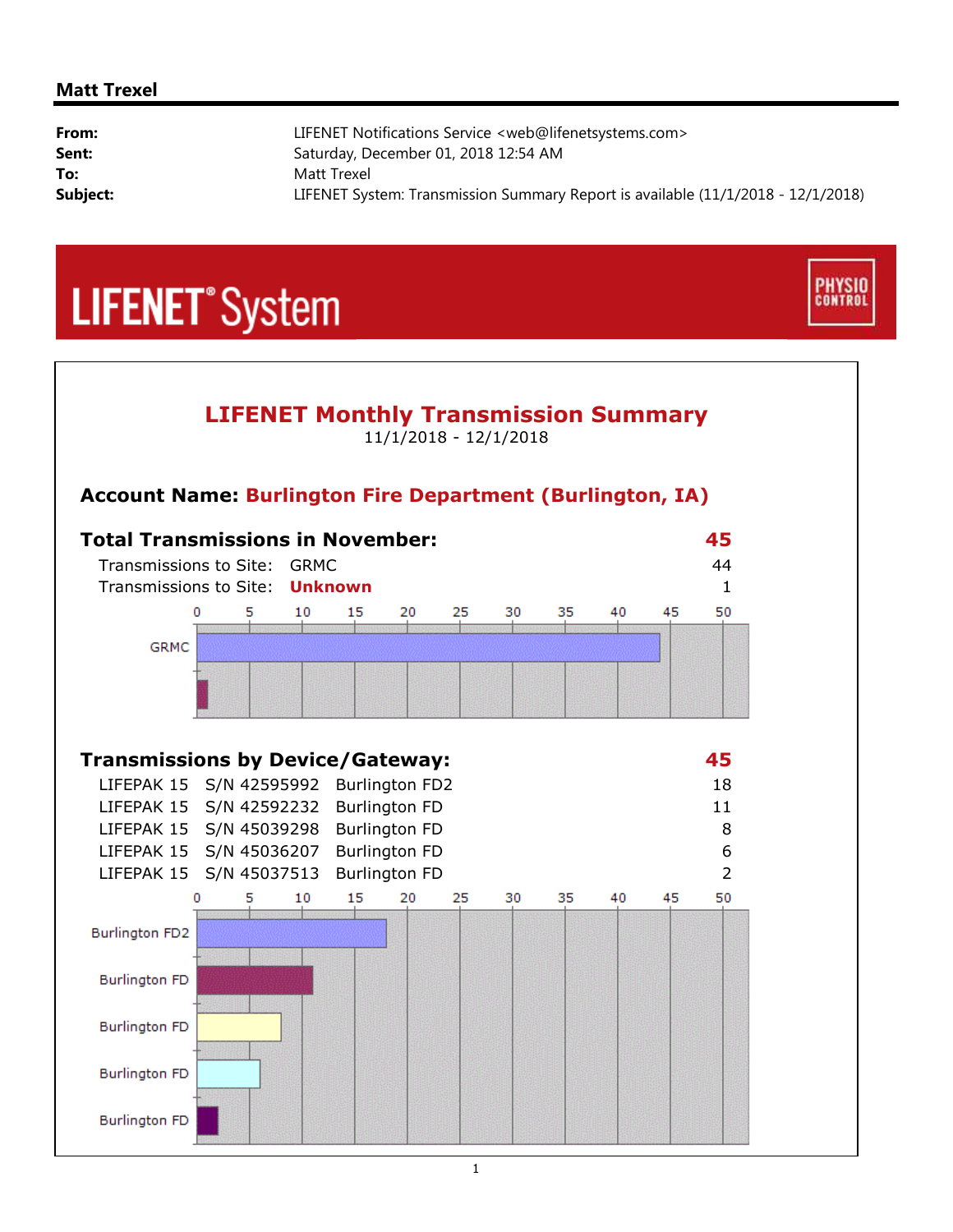#### **Matt Trexel**

| From:    | LIFENET Notifications Service <web@lifenetsystems.com></web@lifenetsystems.com>  |
|----------|----------------------------------------------------------------------------------|
| Sent:    | Saturday, December 01, 2018 12:54 AM                                             |
| To:      | Matt Trexel                                                                      |
| Subject: | LIFENET System: Transmission Summary Report is available (11/1/2018 - 12/1/2018) |

**PHYSIO**<br>CONTROL

## **LIFENET**<sup>\*</sup>System